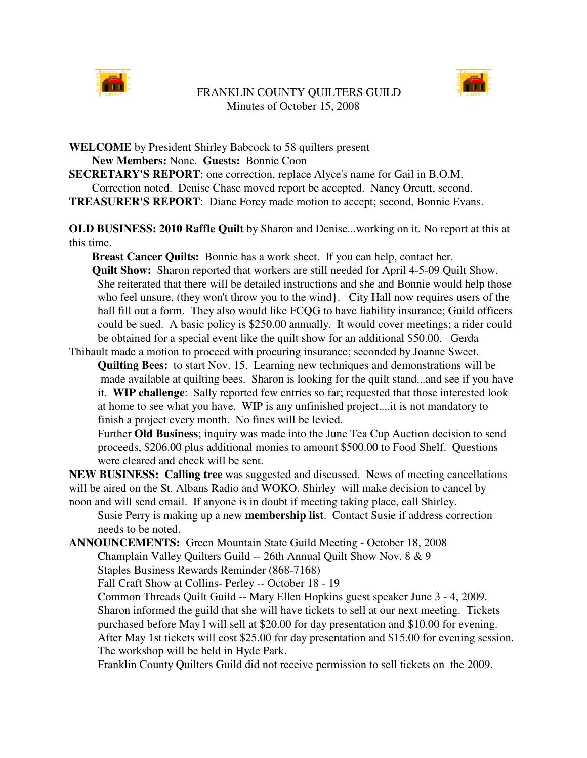

## FRANKLIN COUNTY QUILTERS GUILD Minutes of October 15, 2008



**WELCOME** by President Shirley Babcock to 58 quilters present **New Members:** None. **Guests:** Bonnie Coon

**SECRETARY'S REPORT**: one correction, replace Alyce's name for Gail in B.O.M. Correction noted. Denise Chase moved report be accepted. Nancy Orcutt, second. **TREASURER'S REPORT**: Diane Forey made motion to accept; second, Bonnie Evans.

**OLD BUSINESS: 2010 Raffle Quilt** by Sharon and Denise...working on it. No report at this at this time.

**Breast Cancer Quilts:** Bonnie has a work sheet. If you can help, contact her. **Quilt Show:** Sharon reported that workers are still needed for April 4-5-09 Quilt Show. She reiterated that there will be detailed instructions and she and Bonnie would help those who feel unsure, (they won't throw you to the wind}. City Hall now requires users of the hall fill out a form. They also would like FCQG to have liability insurance; Guild officers could be sued. A basic policy is \$250.00 annually. It would cover meetings; a rider could be obtained for a special event like the quilt show for an additional \$50.00. Gerda

Thibault made a motion to proceed with procuring insurance; seconded by Joanne Sweet.

**Quilting Bees:** to start Nov. 15. Learning new techniques and demonstrations will be made available at quilting bees. Sharon is looking for the quilt stand...and see if you have it. **WIP challenge**: Sally reported few entries so far; requested that those interested look at home to see what you have. WIP is any unfinished project....it is not mandatory to finish a project every month. No fines will be levied.

Further **Old Business**; inquiry was made into the June Tea Cup Auction decision to send proceeds, \$206.00 plus additional monies to amount \$500.00 to Food Shelf. Questions were cleared and check will be sent.

**NEW BUSINESS: Calling tree** was suggested and discussed. News of meeting cancellations will be aired on the St. Albans Radio and WOKO. Shirley will make decision to cancel by noon and will send email. If anyone is in doubt if meeting taking place, call Shirley.

Susie Perry is making up a new **membership list**. Contact Susie if address correction needs to be noted.

**ANNOUNCEMENTS:** Green Mountain State Guild Meeting - October 18, 2008

Champlain Valley Quilters Guild -- 26th Annual Quilt Show Nov. 8 & 9 Staples Business Rewards Reminder (868-7168)

Fall Craft Show at Collins- Perley -- October 18 - 19

Common Threads Quilt Guild -- Mary Ellen Hopkins guest speaker June 3 - 4, 2009. Sharon informed the guild that she will have tickets to sell at our next meeting. Tickets purchased before May l will sell at \$20.00 for day presentation and \$10.00 for evening. After May 1st tickets will cost \$25.00 for day presentation and \$15.00 for evening session. The workshop will be held in Hyde Park.

Franklin County Quilters Guild did not receive permission to sell tickets on the 2009.